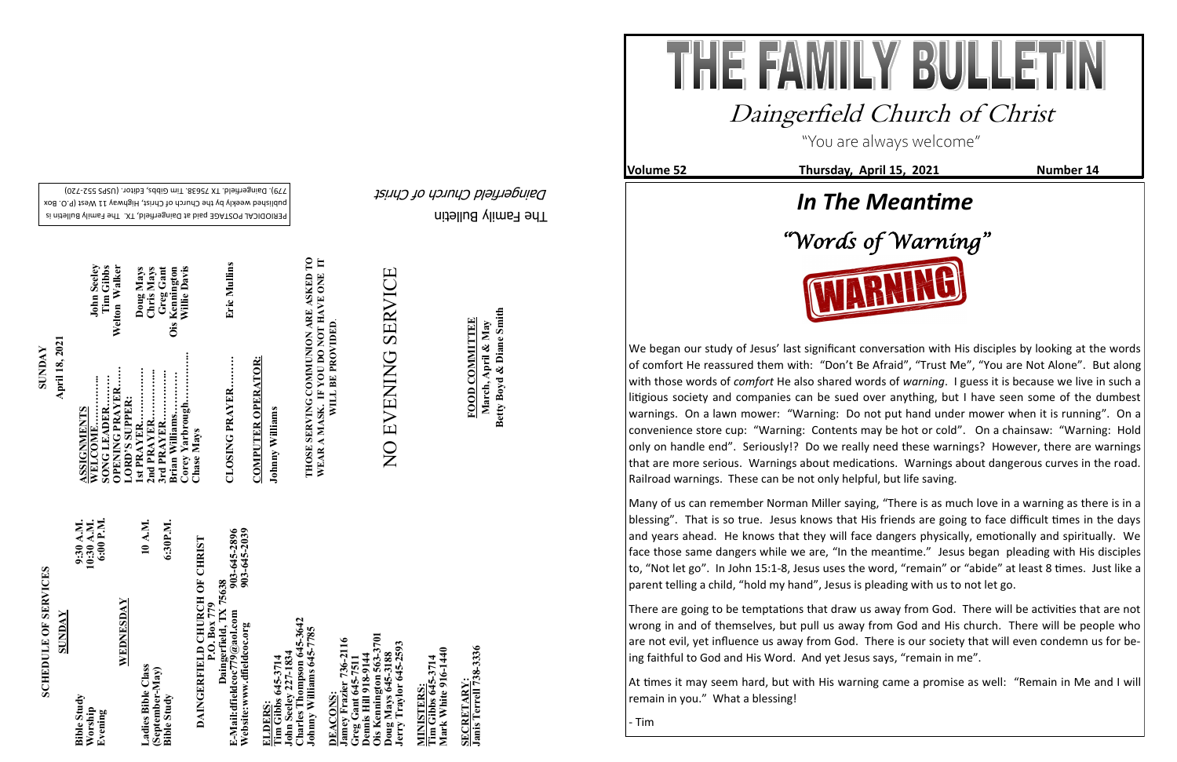The Family Bulletin

Daingerfield Church of Christ

## **SCHEDULE OF SERVICES SCHEDULE OF SERVICES**

PERIODICAL POSTAGE paid at Daingerfield, TX. The Family Bulletin is published weekly by the Church of Christ, Highway 11 West (P.O. Box 720) - 779). Daingerfield. TX 75638. Tim Gibbs, Editor. (USPS 552

903-645-2896<br>903-645-2039 **Website:www.dfieldcoc.org 903-645-2039 E-Mail:dfieldcoc779@aol.com 903-645-2896**

**Tim Gibbs 645-3714**<br>John Seeley 227-1834<br>Charles Thompson 645-3<br>Johnny Williams 645-777 **John Seeley 227-1834 Charles Thompson 645-3642 Johnny Williams 645-7785** 

| WEDNESDAY<br>SUNDAY<br>Ladies Bible Class<br>(September-May)<br><b>Bible Study</b><br><b>Bible Study</b><br>Worship<br>Evening |
|--------------------------------------------------------------------------------------------------------------------------------|
|                                                                                                                                |

**Ois Kennington 563-3701 Jamey Frazier 736-2116**  736-2116 **oug Mays 645-3188**<br>erry Traylor 645-2593 **Jerry Traylor 645-2593 Greg Gant 645-7511 Dennis Hill 918-9144 Doug Mays 645-3188** conis Hill 918-91<br>is Kennington 50 **DEACONS:**  <u>Eccoure</u><br>Imey Fraz<br>reg Gant (<br>ennis Hill **DEACONS** 

**Tim Gibbs 645-3714**<br>Mark White 916-1440 **Mark White 916-1440 Tim Gibbs 645-3714 MINISTERS:** MINISTERS

SECRETARY:<br>Janis Terrell 738-3336 **Janis Terrell 738-3336 SECRETARY:**

# **DAINGERFIELD CHURCH OF CHRIST DAINGERFIELD CHURCH OF CHRIST**<br>P.O. Box 779<br>Daingerfield, TX 75638<br>E-Mail:dfieldcoc779@aol.com<br>Website:www.dfieldcoc.org<br>903-645-203 **Daingerfield, TX 75638**

**April 18, 2021 SUNDAY ASSIGNMENTS STM** 

**WELCOME…………... John Seeley OPENING PRAYER…… Welton Walker Doug Mays**<br>Chris Mays<br>Greg Gant<br>Kennington<br>Willie Davis Tim Gibbs<br>Welton Walker **SONG LEADER……… Tim Gibbs Brian Williams………… Ois Kennington 1st PRAYER……………. Doug Mays Corey Yarbrough…………... Willie Davis 2nd PRAYER…………... Chris Mays 3rd PRAYER…………... Greg Gant John Seeley** Ois arbrough.... **LORD'S SUPPER:**  PER: illiams. Jorey Yarbr<br>Thase Mays rian

**Tim Gibbs 645-3714** 

**CLOSING PRAYER……… Eric Mullins**  CLOSING PRAYER.........

Eric Mullins

**COMPUTER OPERATOR: COMPUTER OPERATOR:**

Johnny Williams **Johnny Williams**

# NO EVENING SERVICE NO EVENING SERVICE

**FOOD COMMITTEE**<br>March, April & May<br>Betty Boyd & Diane Smith **Betty Boyd & Diane Smith FOOD COMMITTEE March, April & May**

**THOSE SERVING COMMUNION ARE ASKED TO WEAR A MASK. IF YOU DO NOT HAVE ONE IT**  THOSE SERVING COMMUNION ARE ASKED TO<br>WEAR A MASK. IF YOU DO NOT HAVE ONE IT<br>WILL BE PROVIDED. **WILL BE PROVIDED**. "You are always welcome"

**Volume 52 Thursday, April 15, 2021 Number 14** 



## Daingerfield Church of Christ





We began our study of Jesus' last significant conversation with His disciples by looking at the words of comfort He reassured them with: "Don't Be Afraid", "Trust Me", "You are Not Alone". But along with those words of *comfort* He also shared words of *warning*. I guess it is because we live in such a litigious society and companies can be sued over anything, but I have seen some of the dumbest warnings. On a lawn mower: "Warning: Do not put hand under mower when it is running". On a convenience store cup: "Warning: Contents may be hot or cold". On a chainsaw: "Warning: Hold only on handle end". Seriously!? Do we really need these warnings? However, there are warnings that are more serious. Warnings about medications. Warnings about dangerous curves in the road. Railroad warnings. These can be not only helpful, but life saving.

Many of us can remember Norman Miller saying, "There is as much love in a warning as there is in a blessing". That is so true. Jesus knows that His friends are going to face difficult times in the days and years ahead. He knows that they will face dangers physically, emotionally and spiritually. We face those same dangers while we are, "In the meantime." Jesus began pleading with His disciples to, "Not let go". In John 15:1-8, Jesus uses the word, "remain" or "abide" at least 8 times. Just like a parent telling a child, "hold my hand", Jesus is pleading with us to not let go.

There are going to be temptations that draw us away from God. There will be activities that are not wrong in and of themselves, but pull us away from God and His church. There will be people who are not evil, yet influence us away from God. There is our society that will even condemn us for being faithful to God and His Word. And yet Jesus says, "remain in me".

At times it may seem hard, but with His warning came a promise as well: "Remain in Me and I will remain in you." What a blessing!

- Tim